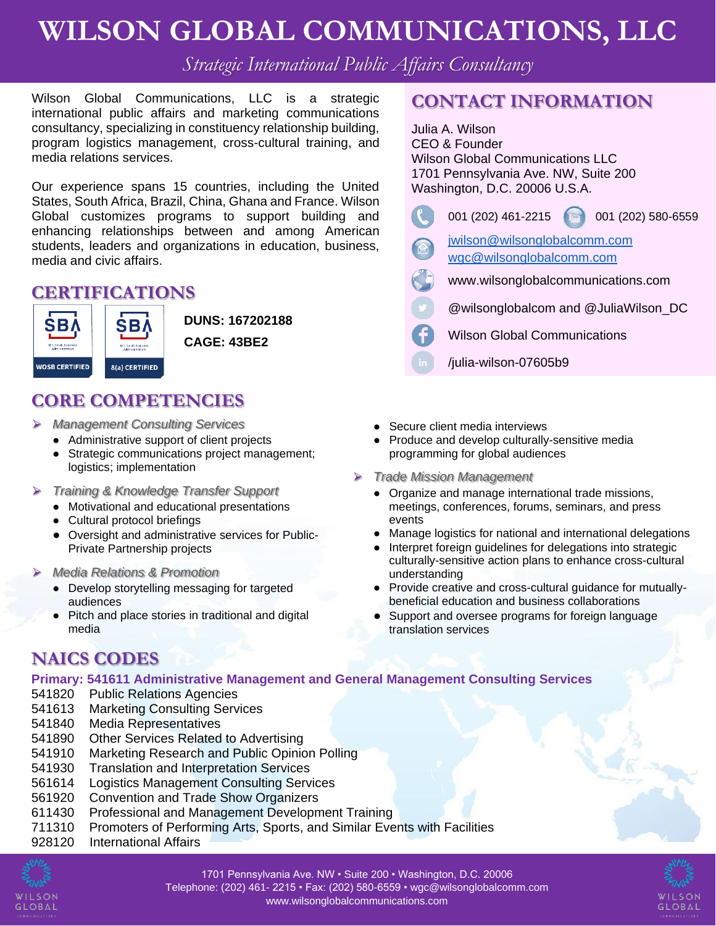# **WILSON GLOBAL COMMUNICATIONS, LLC**

*Strategic International Public Affairs Consultancy*

Wilson Global Communications, LLC is a strategic international public affairs and marketing communications consultancy, specializing in constituency relationship building, program logistics management, cross-cultural training, and media relations services.

Our experience spans 15 countries, including the United States, South Africa, Brazil, China, Ghana and France. Wilson Global customizes programs to support building and enhancing relationships between and among American students, leaders and organizations in education, business, media and civic affairs.

### **CERTIFICATIONS**



**DUNS: 167202188 CAGE: 43BE2**

### **CORE COMPETENCIES**

- ⮚ *Management Consulting Services* 
	- Administrative support of client projects
	- Strategic communications project management; logistics; implementation
- ⮚ *Training & Knowledge Transfer Support*
	- Motivational and educational presentations
	- Cultural protocol briefings
	- Oversight and administrative services for Public-Private Partnership projects
- ⮚ *Media Relations & Promotion*
	- Develop storytelling messaging for targeted audiences
	- Pitch and place stories in traditional and digital media

### **NAICS CODES**

#### **Primary: 541611 Administrative Management and General Management Consulting Services**

- 541820 Public Relations Agencies
- 541613 Marketing Consulting Services
- 541840 Media Representatives
- 541890 Other Services Related to Advertising
- 541910 Marketing Research and Public Opinion Polling
- 541930 Translation and Interpretation Services
- 561614 Logistics Management Consulting Services
- 561920 Convention and Trade Show Organizers
- 611430 Professional and Management Development Training
- 711310 Promoters of Performing Arts, Sports, and Similar Events with Facilities
- 928120 International Affairs



## **CONTACT INFORMATION**

Julia A. Wilson CEO & Founder Wilson Global Communications LLC 1701 Pennsylvania Ave. NW, Suite 200 Washington, D.C. 20006 U.S.A. 001 (202) 461-2215 001 (202) 580-6559 [jwilson@wilsonglobalcomm.com](mailto:jwilson@wilsonglobalcomm.com) [wgc@wilsonglobalcomm.com](mailto:wgc@wilsonglobalcomm.com) www.wilsonglobalcommunications.com @wilsonglobalcom and @JuliaWilson\_DC Wilson Global Communications /julia-wilson-07605b9

- Secure client media interviews
- Produce and develop culturally-sensitive media programming for global audiences
- ⮚ *Trade Mission Management* 
	- Organize and manage international trade missions, meetings, conferences, forums, seminars, and press events
	- Manage logistics for national and international delegations
	- Interpret foreign guidelines for delegations into strategic culturally-sensitive action plans to enhance cross-cultural understanding
	- Provide creative and cross-cultural guidance for mutuallybeneficial education and business collaborations
	- Support and oversee programs for foreign language translation services



1701 Pennsylvania Ave. NW • Suite 200 • Washington, D.C. 20006 Telephone: (202) 461- 2215 • Fax: (202) 580-6559 • wgc@wilsonglobalcomm.com www.wilsonglobalcommunications.com